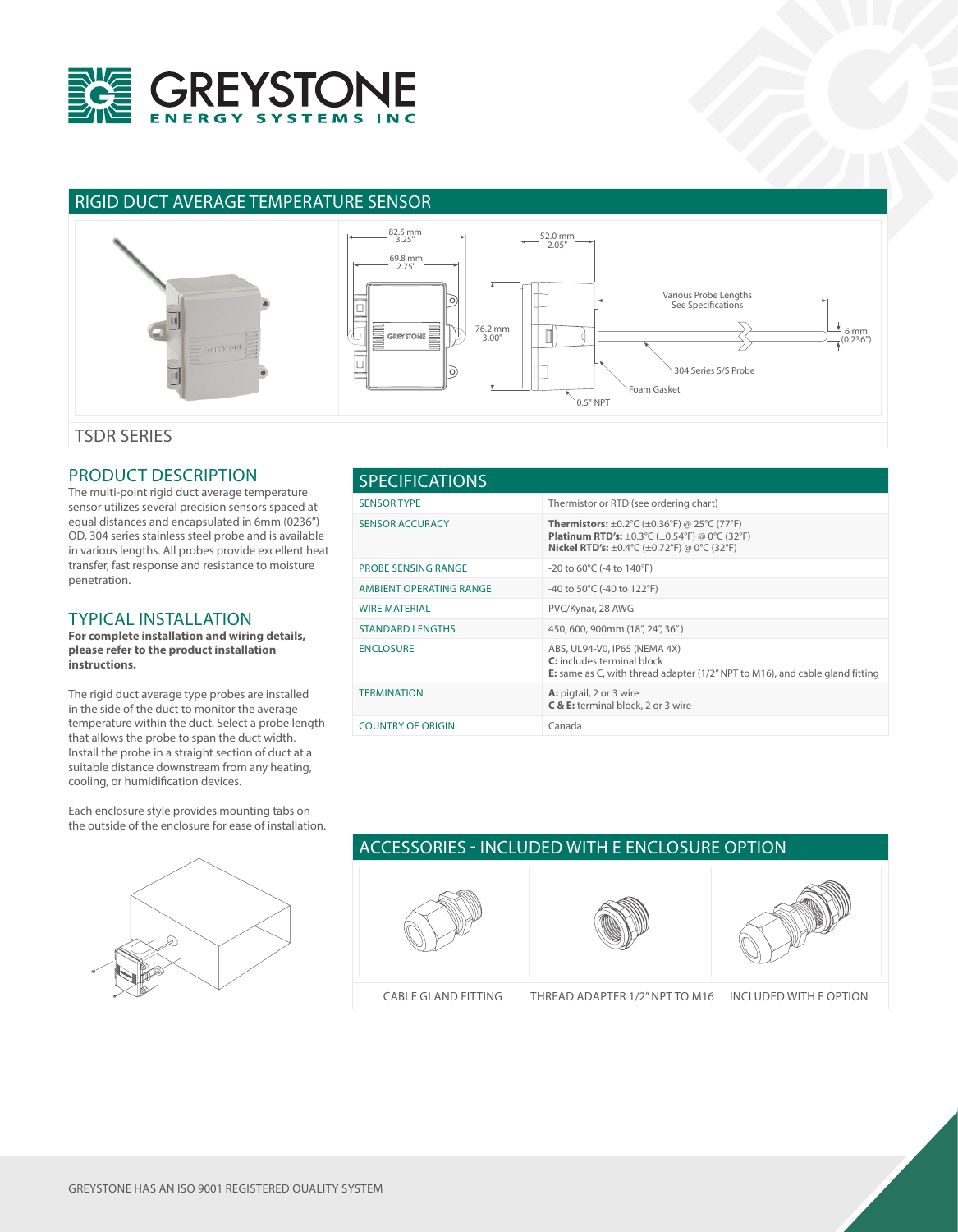

## RIGID DUCT AVERAGE TEMPERATURE SENSOR



TSDR SERIES

## PRODUCT DESCRIPTION

The multi-point rigid duct average temperature sensor utilizes several precision sensors spaced at equal distances and encapsulated in 6mm (0236") OD, 304 series stainless steel probe and is available in various lengths. All probes provide excellent heat transfer, fast response and resistance to moisture penetration.

## TYPICAL INSTALLATION

**For complete installation and wiring details, please refer to the product installation instructions.**

The rigid duct average type probes are installed in the side of the duct to monitor the average temperature within the duct. Select a probe length that allows the probe to span the duct width. Install the probe in a straight section of duct at a suitable distance downstream from any heating, cooling, or humidification devices.

Each enclosure style provides mounting tabs on the outside of the enclosure for ease of installation.



## SENSOR TYPE Thermistor or RTD (see ordering chart) SENSOR ACCURACY **Thermistors:** ±0.2°C (±0.36°F) @ 25°C (77°F) **Platinum RTD's:** ±0.3°C (±0.54°F) @ 0°C (32°F) **Nickel RTD's:** ±0.4°C (±0.72°F) @ 0°C (32°F) PROBE SENSING RANGE -20 to 60°C (-4 to 140°F) AMBIENT OPERATING RANGE -40 to 50°C (-40 to 122°F) WIRE MATERIAL **WIRE MATERIAL** PVC/Kynar, 28 AWG STANDARD LENGTHS 450, 600, 900mm (18", 24", 36" ) ENCLOSURE ABS, UL94-V0, IP65 (NEMA 4X) **C:** includes terminal block **E:** same as C, with thread adapter (1/2" NPT to M16), and cable gland fitting TERMINATION **A:** pigtail, 2 or 3 wire **C & E:** terminal block, 2 or 3 wire COUNTRY OF ORIGIN Canada SPECIFICATIONS



GREYSTONE HAS AN ISO 9001 REGISTERED QUALITY SYSTEM